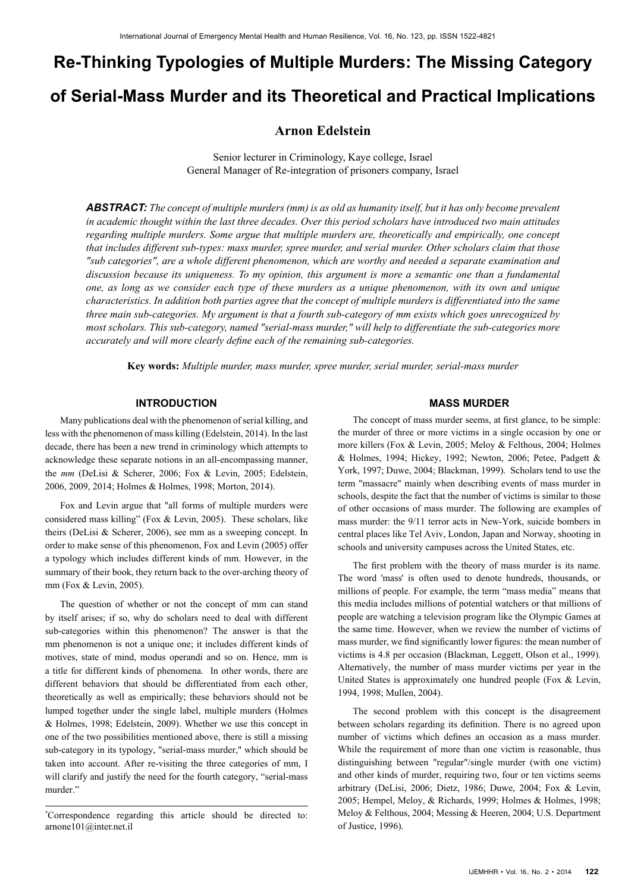# **Re-Thinking Typologies of Multiple Murders: The Missing Category of Serial-Mass Murder and its Theoretical and Practical Implications**

# **Arnon Edelstein**

Senior lecturer in Criminology, Kaye college, Israel General Manager of Re-integration of prisoners company, Israel

*ABSTRACT: The concept of multiple murders (mm) is as old as humanity itself, but it has only become prevalent in academic thought within the last three decades. Over this period scholars have introduced two main attitudes regarding multiple murders. Some argue that multiple murders are, theoretically and empirically, one concept that includes different sub-types: mass murder, spree murder, and serial murder. Other scholars claim that those "sub categories", are a whole different phenomenon, which are worthy and needed a separate examination and discussion because its uniqueness. To my opinion, this argument is more a semantic one than a fundamental one, as long as we consider each type of these murders as a unique phenomenon, with its own and unique characteristics. In addition both parties agree that the concept of multiple murders is differentiated into the same three main sub-categories. My argument is that a fourth sub-category of mm exists which goes unrecognized by most scholars. This sub-category, named "serial-mass murder," will help to differentiate the sub-categories more accurately and will more clearly define each of the remaining sub-categories.*

**Key words:** *Multiple murder, mass murder, spree murder, serial murder, serial-mass murder*

### **INTRODUCTION**

Many publications deal with the phenomenon of serial killing, and less with the phenomenon of mass killing (Edelstein, 2014). In the last decade, there has been a new trend in criminology which attempts to acknowledge these separate notions in an all-encompassing manner, the *mm* (DeLisi & Scherer, 2006; Fox & Levin, 2005; Edelstein, 2006, 2009, 2014; Holmes & Holmes, 1998; Morton, 2014).

Fox and Levin argue that "all forms of multiple murders were considered mass killing" (Fox & Levin, 2005). These scholars, like theirs (DeLisi & Scherer, 2006), see mm as a sweeping concept. In order to make sense of this phenomenon, Fox and Levin (2005) offer a typology which includes different kinds of mm. However, in the summary of their book, they return back to the over-arching theory of mm (Fox & Levin, 2005).

The question of whether or not the concept of mm can stand by itself arises; if so, why do scholars need to deal with different sub-categories within this phenomenon? The answer is that the mm phenomenon is not a unique one; it includes different kinds of motives, state of mind, modus operandi and so on. Hence, mm is a title for different kinds of phenomena. In other words, there are different behaviors that should be differentiated from each other, theoretically as well as empirically; these behaviors should not be lumped together under the single label, multiple murders (Holmes & Holmes, 1998; Edelstein, 2009). Whether we use this concept in one of the two possibilities mentioned above, there is still a missing sub-category in its typology, "serial-mass murder," which should be taken into account. After re-visiting the three categories of mm, I will clarify and justify the need for the fourth category, "serial-mass murder."

\* Correspondence regarding this article should be directed to: [arnone101@inter.net.il](mailto:arnone101@inter.net.il)

#### **MASS MURDER**

The concept of mass murder seems, at first glance, to be simple: the murder of three or more victims in a single occasion by one or more killers (Fox & Levin, 2005; Meloy & Felthous, 2004; Holmes & Holmes, 1994; Hickey, 1992; Newton, 2006; Petee, Padgett & York, 1997; Duwe, 2004; Blackman, 1999). Scholars tend to use the term "massacre" mainly when describing events of mass murder in schools, despite the fact that the number of victims is similar to those of other occasions of mass murder. The following are examples of mass murder: the 9/11 terror acts in New-York, suicide bombers in central places like Tel Aviv, London, Japan and Norway, shooting in schools and university campuses across the United States, etc.

The first problem with the theory of mass murder is its name. The word 'mass' is often used to denote hundreds, thousands, or millions of people. For example, the term "mass media" means that this media includes millions of potential watchers or that millions of people are watching a television program like the Olympic Games at the same time. However, when we review the number of victims of mass murder, we find significantly lower figures: the mean number of victims is 4.8 per occasion (Blackman, Leggett, Olson et al., 1999). Alternatively, the number of mass murder victims per year in the United States is approximately one hundred people (Fox & Levin, 1994, 1998; Mullen, 2004).

The second problem with this concept is the disagreement between scholars regarding its definition. There is no agreed upon number of victims which defines an occasion as a mass murder. While the requirement of more than one victim is reasonable, thus distinguishing between "regular"/single murder (with one victim) and other kinds of murder, requiring two, four or ten victims seems arbitrary (DeLisi, 2006; Dietz, 1986; Duwe, 2004; Fox & Levin, 2005; Hempel, Meloy, & Richards, 1999; Holmes & Holmes, 1998; Meloy & Felthous, 2004; Messing & Heeren, 2004; U.S. Department of Justice, 1996).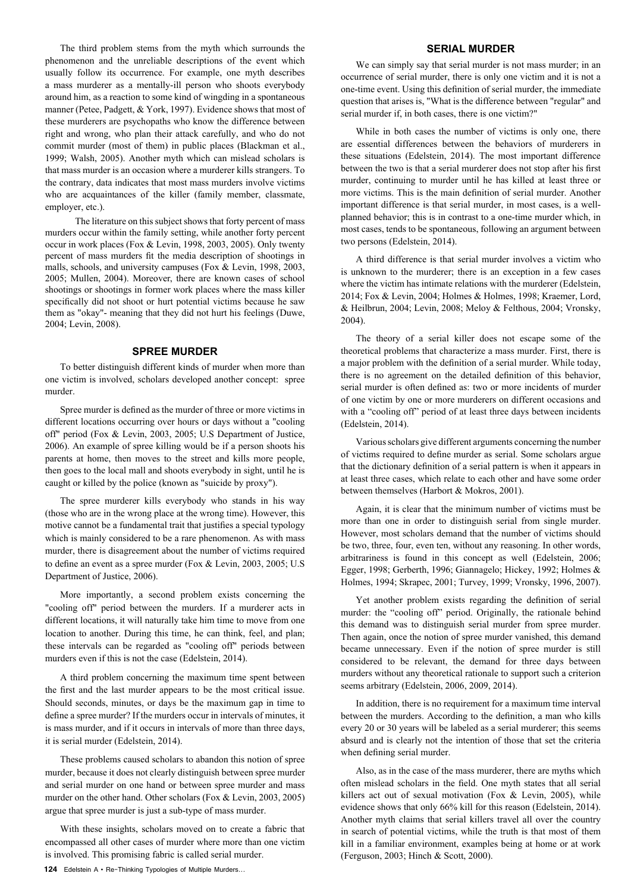The third problem stems from the myth which surrounds the phenomenon and the unreliable descriptions of the event which usually follow its occurrence. For example, one myth describes a mass murderer as a mentally-ill person who shoots everybody around him, as a reaction to some kind of wingding in a spontaneous manner (Petee, Padgett, & York, 1997). Evidence shows that most of these murderers are psychopaths who know the difference between right and wrong, who plan their attack carefully, and who do not commit murder (most of them) in public places (Blackman et al., 1999; Walsh, 2005). Another myth which can mislead scholars is that mass murder is an occasion where a murderer kills strangers. To the contrary, data indicates that most mass murders involve victims who are acquaintances of the killer (family member, classmate, employer, etc.).

The literature on this subject shows that forty percent of mass murders occur within the family setting, while another forty percent occur in work places (Fox & Levin, 1998, 2003, 2005). Only twenty percent of mass murders fit the media description of shootings in malls, schools, and university campuses (Fox & Levin, 1998, 2003, 2005; Mullen, 2004). Moreover, there are known cases of school shootings or shootings in former work places where the mass killer specifically did not shoot or hurt potential victims because he saw them as "okay"- meaning that they did not hurt his feelings (Duwe, 2004; Levin, 2008).

#### **SPREE MURDER**

To better distinguish different kinds of murder when more than one victim is involved, scholars developed another concept: spree murder.

Spree murder is defined as the murder of three or more victims in different locations occurring over hours or days without a "cooling off" period (Fox & Levin, 2003, 2005; U.S Department of Justice, 2006). An example of spree killing would be if a person shoots his parents at home, then moves to the street and kills more people, then goes to the local mall and shoots everybody in sight, until he is caught or killed by the police (known as "suicide by proxy").

The spree murderer kills everybody who stands in his way (those who are in the wrong place at the wrong time). However, this motive cannot be a fundamental trait that justifies a special typology which is mainly considered to be a rare phenomenon. As with mass murder, there is disagreement about the number of victims required to define an event as a spree murder (Fox & Levin, 2003, 2005; U.S Department of Justice, 2006).

More importantly, a second problem exists concerning the "cooling off" period between the murders. If a murderer acts in different locations, it will naturally take him time to move from one location to another. During this time, he can think, feel, and plan; these intervals can be regarded as "cooling off" periods between murders even if this is not the case (Edelstein, 2014).

A third problem concerning the maximum time spent between the first and the last murder appears to be the most critical issue. Should seconds, minutes, or days be the maximum gap in time to define a spree murder? If the murders occur in intervals of minutes, it is mass murder, and if it occurs in intervals of more than three days, it is serial murder (Edelstein, 2014).

These problems caused scholars to abandon this notion of spree murder, because it does not clearly distinguish between spree murder and serial murder on one hand or between spree murder and mass murder on the other hand. Other scholars (Fox & Levin, 2003, 2005) argue that spree murder is just a sub-type of mass murder.

With these insights, scholars moved on to create a fabric that encompassed all other cases of murder where more than one victim is involved. This promising fabric is called serial murder.

#### **124** Edelstein A • Re-Thinking Typologies of Multiple Murders...

# **SERIAL MURDER**

We can simply say that serial murder is not mass murder; in an occurrence of serial murder, there is only one victim and it is not a one-time event. Using this definition of serial murder, the immediate question that arises is, "What is the difference between "regular" and serial murder if, in both cases, there is one victim?"

While in both cases the number of victims is only one, there are essential differences between the behaviors of murderers in these situations (Edelstein, 2014). The most important difference between the two is that a serial murderer does not stop after his first murder, continuing to murder until he has killed at least three or more victims. This is the main definition of serial murder. Another important difference is that serial murder, in most cases, is a wellplanned behavior; this is in contrast to a one-time murder which, in most cases, tends to be spontaneous, following an argument between two persons (Edelstein, 2014).

A third difference is that serial murder involves a victim who is unknown to the murderer; there is an exception in a few cases where the victim has intimate relations with the murderer (Edelstein, 2014; Fox & Levin, 2004; Holmes & Holmes, 1998; Kraemer, Lord, & Heilbrun, 2004; Levin, 2008; Meloy & Felthous, 2004; Vronsky, 2004).

The theory of a serial killer does not escape some of the theoretical problems that characterize a mass murder. First, there is a major problem with the definition of a serial murder. While today, there is no agreement on the detailed definition of this behavior, serial murder is often defined as: two or more incidents of murder of one victim by one or more murderers on different occasions and with a "cooling off" period of at least three days between incidents (Edelstein, 2014).

Various scholars give different arguments concerning the number of victims required to define murder as serial. Some scholars argue that the dictionary definition of a serial pattern is when it appears in at least three cases, which relate to each other and have some order between themselves (Harbort & Mokros, 2001).

Again, it is clear that the minimum number of victims must be more than one in order to distinguish serial from single murder. However, most scholars demand that the number of victims should be two, three, four, even ten, without any reasoning. In other words, arbitrariness is found in this concept as well (Edelstein, 2006; Egger, 1998; Gerberth, 1996; Giannagelo; Hickey, 1992; Holmes & Holmes, 1994; Skrapec, 2001; Turvey, 1999; Vronsky, 1996, 2007).

Yet another problem exists regarding the definition of serial murder: the "cooling off" period. Originally, the rationale behind this demand was to distinguish serial murder from spree murder. Then again, once the notion of spree murder vanished, this demand became unnecessary. Even if the notion of spree murder is still considered to be relevant, the demand for three days between murders without any theoretical rationale to support such a criterion seems arbitrary (Edelstein, 2006, 2009, 2014).

In addition, there is no requirement for a maximum time interval between the murders. According to the definition, a man who kills every 20 or 30 years will be labeled as a serial murderer; this seems absurd and is clearly not the intention of those that set the criteria when defining serial murder.

Also, as in the case of the mass murderer, there are myths which often mislead scholars in the field. One myth states that all serial killers act out of sexual motivation (Fox & Levin, 2005), while evidence shows that only 66% kill for this reason (Edelstein, 2014). Another myth claims that serial killers travel all over the country in search of potential victims, while the truth is that most of them kill in a familiar environment, examples being at home or at work (Ferguson, 2003; Hinch & Scott, 2000).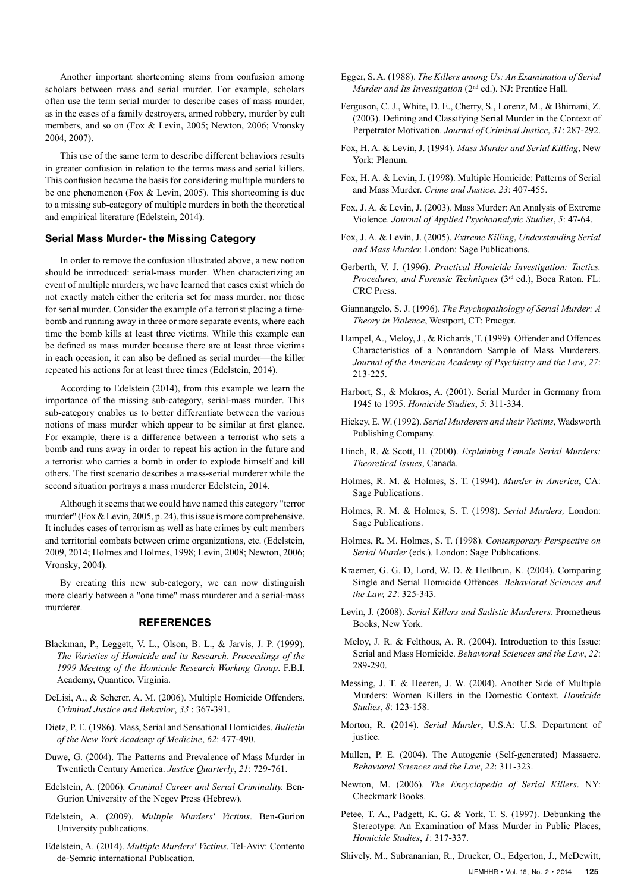Another important shortcoming stems from confusion among scholars between mass and serial murder. For example, scholars often use the term serial murder to describe cases of mass murder, as in the cases of a family destroyers, armed robbery, murder by cult members, and so on (Fox & Levin, 2005; Newton, 2006; Vronsky 2004, 2007).

This use of the same term to describe different behaviors results in greater confusion in relation to the terms mass and serial killers. This confusion became the basis for considering multiple murders to be one phenomenon (Fox & Levin, 2005). This shortcoming is due to a missing sub-category of multiple murders in both the theoretical and empirical literature (Edelstein, 2014).

## **Serial Mass Murder- the Missing Category**

In order to remove the confusion illustrated above, a new notion should be introduced: serial-mass murder. When characterizing an event of multiple murders, we have learned that cases exist which do not exactly match either the criteria set for mass murder, nor those for serial murder. Consider the example of a terrorist placing a timebomb and running away in three or more separate events, where each time the bomb kills at least three victims. While this example can be defined as mass murder because there are at least three victims in each occasion, it can also be defined as serial murder—the killer repeated his actions for at least three times (Edelstein, 2014).

According to Edelstein (2014), from this example we learn the importance of the missing sub-category, serial-mass murder. This sub-category enables us to better differentiate between the various notions of mass murder which appear to be similar at first glance. For example, there is a difference between a terrorist who sets a bomb and runs away in order to repeat his action in the future and a terrorist who carries a bomb in order to explode himself and kill others. The first scenario describes a mass-serial murderer while the second situation portrays a mass murderer Edelstein, 2014.

Although it seems that we could have named this category "terror murder" (Fox & Levin, 2005, p. 24), this issue is more comprehensive. It includes cases of terrorism as well as hate crimes by cult members and territorial combats between crime organizations, etc. (Edelstein, 2009, 2014; Holmes and Holmes, 1998; Levin, 2008; Newton, 2006; Vronsky, 2004).

By creating this new sub-category, we can now distinguish more clearly between a "one time" mass murderer and a serial-mass murderer.

#### **REFERENCES**

- Blackman, P., Leggett, V. L., Olson, B. L., & Jarvis, J. P. (1999). *The Varieties of Homicide and its Research*. *Proceedings of the 1999 Meeting of the Homicide Research Working Group*. F.B.I. Academy, Quantico, Virginia.
- DeLisi, A., & Scherer, A. M. (2006). Multiple Homicide Offenders. *Criminal Justice and Behavior*, *33* : 367-391.
- Dietz, P. E. (1986). Mass, Serial and Sensational Homicides. *Bulletin of the New York Academy of Medicine*, *62*: 477-490.
- Duwe, G. (2004). The Patterns and Prevalence of Mass Murder in Twentieth Century America. *Justice Quarterly*, *21*: 729-761.
- Edelstein, A. (2006). *Criminal Career and Serial Criminality.* Ben-Gurion University of the Negev Press (Hebrew).
- Edelstein, A. (2009). *Multiple Murders' Victims*. Ben-Gurion University publications.
- Edelstein, A. (2014). *Multiple Murders' Victims*. Tel-Aviv: Contento de-Semric international Publication.
- Egger, S. A. (1988). *The Killers among Us: An Examination of Serial Murder and Its Investigation* (2<sup>nd</sup> ed.). NJ: Prentice Hall.
- Ferguson, C. J., White, D. E., Cherry, S., Lorenz, M., & Bhimani, Z. (2003). Defining and Classifying Serial Murder in the Context of Perpetrator Motivation. *Journal of Criminal Justice*, *31*: 287-292.
- Fox, H. A. & Levin, J. (1994). *Mass Murder and Serial Killing*, New York: Plenum.
- Fox, H. A. & Levin, J. (1998). Multiple Homicide: Patterns of Serial and Mass Murder. *Crime and Justice*, *23*: 407-455.
- Fox, J. A. & Levin, J. (2003). Mass Murder: An Analysis of Extreme Violence. *Journal of Applied Psychoanalytic Studies*, *5*: 47-64.
- Fox, J. A. & Levin, J. (2005). *Extreme Killing*, *Understanding Serial and Mass Murder.* London: Sage Publications.
- Gerberth, V. J. (1996). *Practical Homicide Investigation: Tactics, Procedures, and Forensic Techniques* (3rd ed.), Boca Raton. FL: CRC Press.
- Giannangelo, S. J. (1996). *The Psychopathology of Serial Murder: A Theory in Violence*, Westport, CT: Praeger.
- Hampel, A., Meloy, J., & Richards, T. (1999). Offender and Offences Characteristics of a Nonrandom Sample of Mass Murderers. *Journal of the American Academy of Psychiatry and the Law*, *27*: 213-225.
- Harbort, S., & Mokros, A. (2001). Serial Murder in Germany from 1945 to 1995. *Homicide Studies*, *5*: 311-334.
- Hickey, E. W. (1992). *Serial Murderers and their Victims*, Wadsworth Publishing Company.
- Hinch, R. & Scott, H. (2000). *Explaining Female Serial Murders: Theoretical Issues*, Canada.
- Holmes, R. M. & Holmes, S. T. (1994). *Murder in America*, CA: Sage Publications.
- Holmes, R. M. & Holmes, S. T. (1998). *Serial Murders,* London: Sage Publications.
- Holmes, R. M. Holmes, S. T. (1998). *Contemporary Perspective on Serial Murder* (eds.). London: Sage Publications.
- Kraemer, G. G. D, Lord, W. D. & Heilbrun, K. (2004). Comparing Single and Serial Homicide Offences. *Behavioral Sciences and the Law, 22*: 325-343.
- Levin, J. (2008). *Serial Killers and Sadistic Murderers*. Prometheus Books, New York.
- Meloy, J. R. & Felthous, A. R. (2004). Introduction to this Issue: Serial and Mass Homicide. *Behavioral Sciences and the Law*, *22*: 289-290.
- Messing, J. T. & Heeren, J. W. (2004). Another Side of Multiple Murders: Women Killers in the Domestic Context. *Homicide Studies*, *8*: 123-158.
- Morton, R. (2014). *Serial Murder*, U.S.A: U.S. Department of justice.
- Mullen, P. E. (2004). The Autogenic (Self-generated) Massacre. *Behavioral Sciences and the Law*, *22*: 311-323.
- Newton, M. (2006). *The Encyclopedia of Serial Killers*. NY: Checkmark Books.
- Petee, T. A., Padgett, K. G. & York, T. S. (1997). Debunking the Stereotype: An Examination of Mass Murder in Public Places, *Homicide Studies*, *1*: 317-337.
- Shively, M., Subrananian, R., Drucker, O., Edgerton, J., McDewitt,